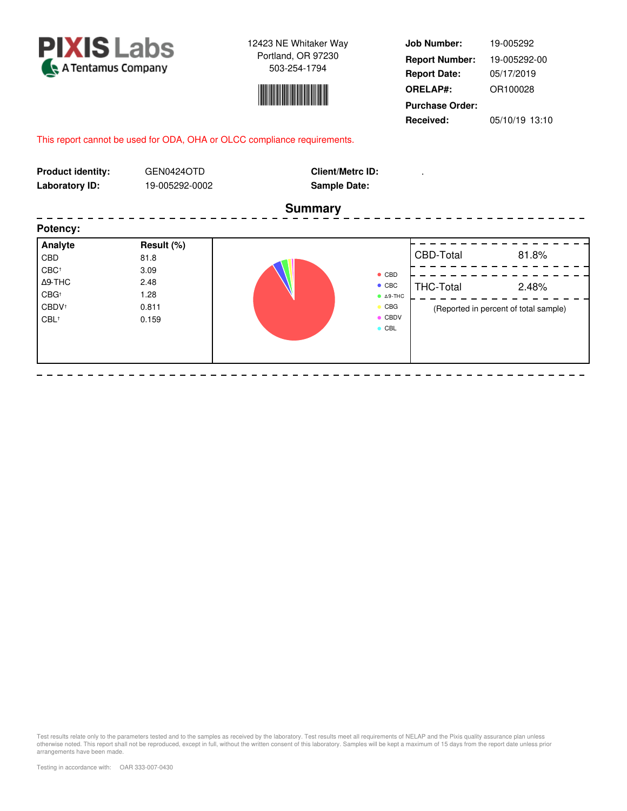

- - - - -

12423 NE Whitaker Way Portland, OR 97230 503-254-1794



**Job Number: Report Date: ORELAP#:** 05/17/2019 OR100028 **Received:** 05/10/19 13:10 **Purchase Order:** 19-005292 **Report Number:** 19-005292-00

# This report cannot be used for ODA, OHA or OLCC compliance requirements.

| <b>Product identity:</b><br><b>Laboratory ID:</b>                  | GEN0424OTD<br>19-005292-0002   | <b>Client/Metrc ID:</b><br><b>Sample Date:</b>                                                              |                  |                                                |
|--------------------------------------------------------------------|--------------------------------|-------------------------------------------------------------------------------------------------------------|------------------|------------------------------------------------|
|                                                                    |                                | <b>Summary</b>                                                                                              |                  |                                                |
| Potency:                                                           |                                |                                                                                                             |                  |                                                |
| Analyte<br>CBD<br>$CBC^+$                                          | Result (%)<br>81.8<br>3.09     |                                                                                                             | CBD-Total        | 81.8%                                          |
| $\Delta$ 9-THC<br>$CBG^+$<br>CBDV <sup>+</sup><br>CBL <sup>+</sup> | 2.48<br>1.28<br>0.811<br>0.159 | $\bullet$ CBD<br>$\bullet$ CBC<br>$O$ $\triangle$ 9-THC<br>$\bullet$ CBG<br>$\bullet$ CBDV<br>$\bullet$ CBL | <b>THC-Total</b> | 2.48%<br>(Reported in percent of total sample) |
|                                                                    |                                |                                                                                                             |                  |                                                |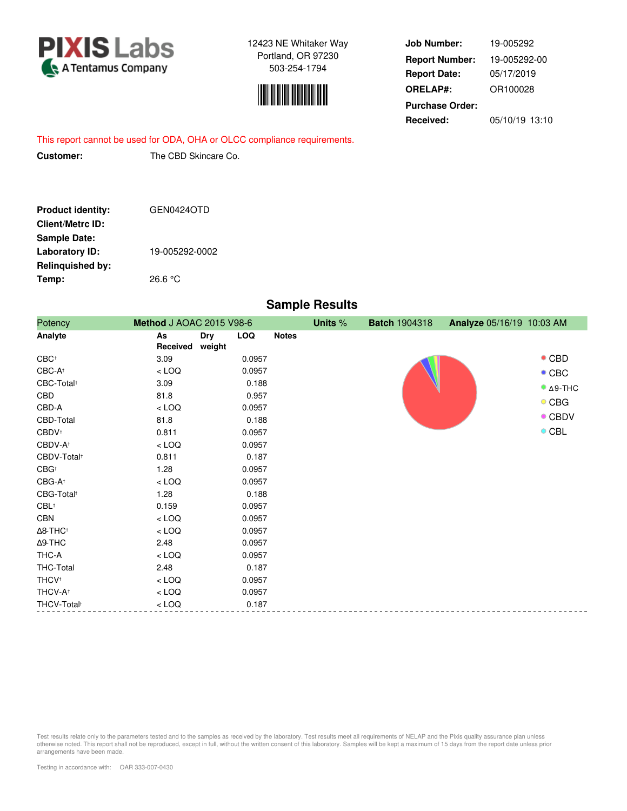



**Job Number: Report Date: ORELAP#:** 05/17/2019 OR100028 **Received:** 05/10/19 13:10 **Purchase Order:** 19-005292 **Report Number:** 19-005292-00

This report cannot be used for ODA, OHA or OLCC compliance requirements.

**Customer:** The CBD Skincare Co.

| <b>Product identity:</b> | GEN0424OTD     |
|--------------------------|----------------|
| <b>Client/Metrc ID:</b>  |                |
| <b>Sample Date:</b>      |                |
| <b>Laboratory ID:</b>    | 19-005292-0002 |
| <b>Relinquished by:</b>  |                |
| Temp:                    | 26.6 °C        |

# **Sample Results**

| Potency                     | Method J AOAC 2015 V98-6 |                      |            | Units %      | <b>Batch 1904318</b> | Analyze 05/16/19 10:03 AM |  |                             |
|-----------------------------|--------------------------|----------------------|------------|--------------|----------------------|---------------------------|--|-----------------------------|
| Analyte                     | As<br>Received           | <b>Dry</b><br>weight | <b>LOQ</b> | <b>Notes</b> |                      |                           |  |                             |
| $CBC^+$                     | 3.09                     |                      | 0.0957     |              |                      |                           |  | $\bullet$ CBD               |
| $CBC-A^+$                   | $<$ LOQ                  |                      | 0.0957     |              |                      |                           |  | $\bullet$ CBC               |
| CBC-Total <sup>+</sup>      | 3.09                     |                      | 0.188      |              |                      |                           |  | $^{\bullet}$ $\Delta$ 9-THC |
| CBD                         | 81.8                     |                      | 0.957      |              |                      |                           |  |                             |
| CBD-A                       | $<$ LOQ                  |                      | 0.0957     |              |                      |                           |  | $\circ$ CBG                 |
| CBD-Total                   | 81.8                     |                      | 0.188      |              |                      |                           |  | $\bullet$ CBDV              |
| CBDV <sup>+</sup>           | 0.811                    |                      | 0.0957     |              |                      |                           |  | $\circ$ CBL                 |
| CBDV-A <sup>+</sup>         | $<$ LOQ                  |                      | 0.0957     |              |                      |                           |  |                             |
| CBDV-Total <sup>+</sup>     | 0.811                    |                      | 0.187      |              |                      |                           |  |                             |
| $CBG^+$                     | 1.28                     |                      | 0.0957     |              |                      |                           |  |                             |
| CBG-A <sup>+</sup>          | $<$ LOQ                  |                      | 0.0957     |              |                      |                           |  |                             |
| CBG-Total <sup>+</sup>      | 1.28                     |                      | 0.188      |              |                      |                           |  |                             |
| $CBL$ <sup>+</sup>          | 0.159                    |                      | 0.0957     |              |                      |                           |  |                             |
| CBN                         | $<$ LOQ                  |                      | 0.0957     |              |                      |                           |  |                             |
| $\Delta$ 8-THC <sup>+</sup> | $<$ LOQ                  |                      | 0.0957     |              |                      |                           |  |                             |
| $\Delta$ 9-THC              | 2.48                     |                      | 0.0957     |              |                      |                           |  |                             |
| THC-A                       | $<$ LOQ                  |                      | 0.0957     |              |                      |                           |  |                             |
| THC-Total                   | 2.48                     |                      | 0.187      |              |                      |                           |  |                             |
| <b>THCV</b> <sup>+</sup>    | $<$ LOQ                  |                      | 0.0957     |              |                      |                           |  |                             |
| THCV-A <sup>+</sup>         | $<$ LOQ                  |                      | 0.0957     |              |                      |                           |  |                             |
| THCV-Total <sup>+</sup>     | $<$ LOQ                  |                      | 0.187      |              |                      |                           |  |                             |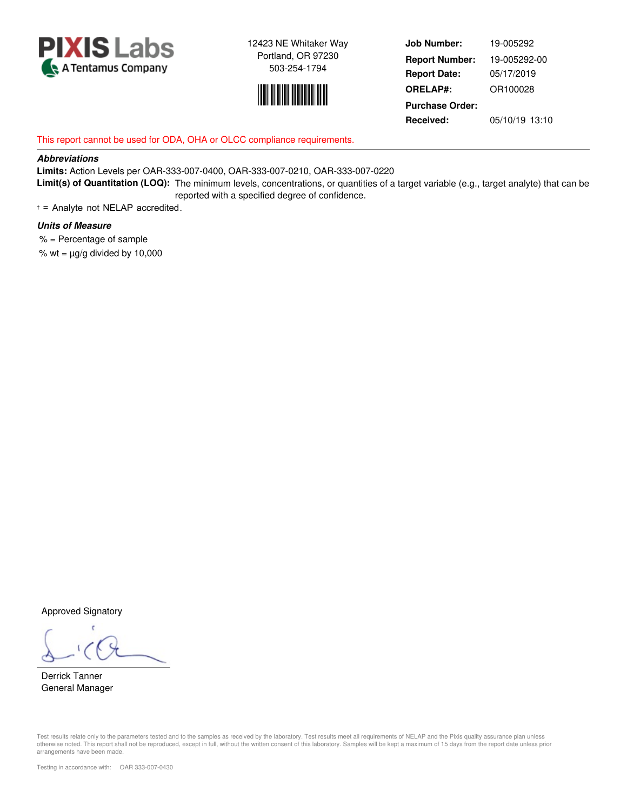



**Job Number: Report Date: ORELAP#:** 05/17/2019 OR100028 **Received:** 05/10/19 13:10 **Purchase Order:** 19-005292 **Report Number:** 19-005292-00

# This report cannot be used for ODA, OHA or OLCC compliance requirements.

## **Abbreviations**

**Limits:** Action Levels per OAR-333-007-0400, OAR-333-007-0210, OAR-333-007-0220 **Limit(s) of Quantitation (LOQ):** The minimum levels, concentrations, or quantities of a target variable (e.g., target analyte) that can be reported with a specified degree of confidence.

† = Analyte not NELAP accredited.

## **Units of Measure**

 % = Percentage of sample % wt =  $\mu$ g/g divided by 10,000

Approved Signatory

Derrick Tanner General Manager

Test results relate only to the parameters tested and to the samples as received by the laboratory. Test results meet all requirements of NELAP and the Pixis quality assurance plan unless otherwise noted. This report shall not be reproduced, except in full, without the written consent of this laboratory. Samples will be kept a maximum of 15 days from the report date unless prior arrangements have been made.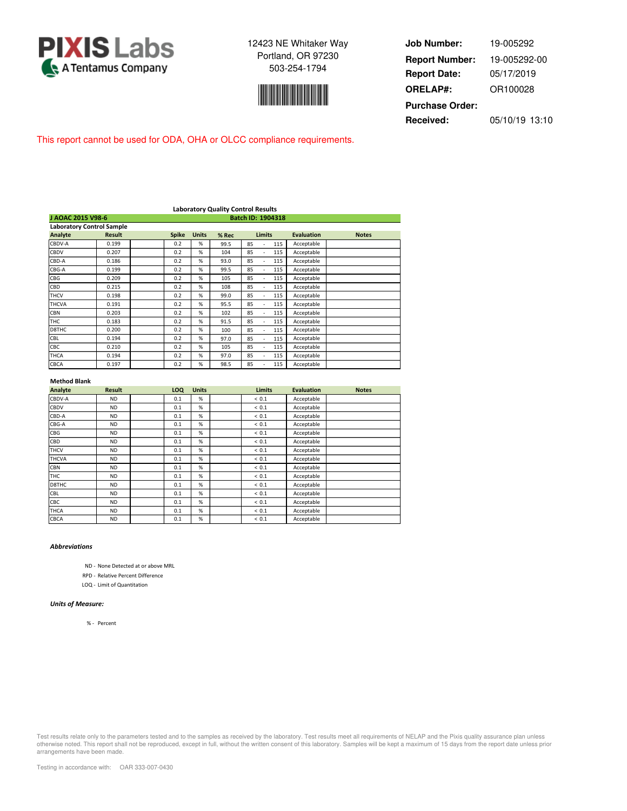



**Job Number: Report Date: ORELAP#:** 05/17/2019 OR100028 **Received:** 05/10/19 13:10 **Purchase Order:** 19-005292 **Report Number:** 19-005292-00

This report cannot be used for ODA, OHA or OLCC compliance requirements.

| <b>Laboratory Quality Control Results</b> |               |  |              |              |       |                 |                   |              |
|-------------------------------------------|---------------|--|--------------|--------------|-------|-----------------|-------------------|--------------|
| J AOAC 2015 V98-6                         |               |  |              |              |       |                 |                   |              |
| <b>Laboratory Control Sample</b>          |               |  |              |              |       |                 |                   |              |
| <b>Analyte</b>                            | <b>Result</b> |  | <b>Spike</b> | <b>Units</b> | % Rec | <b>Limits</b>   | <b>Evaluation</b> | <b>Notes</b> |
| CBDV-A                                    | 0.199         |  | 0.2          | %            | 99.5  | 85<br>115       | Acceptable        |              |
| CBDV                                      | 0.207         |  | 0.2          | %            | 104   | 85<br>115       | Acceptable        |              |
| CBD-A                                     | 0.186         |  | 0.2          | %            | 93.0  | 85<br>115       | Acceptable        |              |
| CBG-A                                     | 0.199         |  | 0.2          | %            | 99.5  | 85<br>115       | Acceptable        |              |
| <b>CBG</b>                                | 0.209         |  | 0.2          | %            | 105   | 85<br>115       | Acceptable        |              |
| CBD                                       | 0.215         |  | 0.2          | %            | 108   | 85<br>115       | Acceptable        |              |
| <b>THCV</b>                               | 0.198         |  | 0.2          | %            | 99.0  | 85<br>115       | Acceptable        |              |
| <b>THCVA</b>                              | 0.191         |  | 0.2          | %            | 95.5  | 85<br>115       | Acceptable        |              |
| <b>CBN</b>                                | 0.203         |  | 0.2          | %            | 102   | 85<br>115       | Acceptable        |              |
| <b>THC</b>                                | 0.183         |  | 0.2          | %            | 91.5  | 85<br>115       | Acceptable        |              |
| D8THC                                     | 0.200         |  | 0.2          | %            | 100   | 85<br>115<br>÷. | Acceptable        |              |
| CBL                                       | 0.194         |  | 0.2          | %            | 97.0  | 85<br>115       | Acceptable        |              |
| CBC                                       | 0.210         |  | 0.2          | %            | 105   | 85<br>115       | Acceptable        |              |
| <b>THCA</b>                               | 0.194         |  | 0.2          | %            | 97.0  | 85<br>115       | Acceptable        |              |
| CBCA                                      | 0.197         |  | 0.2          | %            | 98.5  | 85<br>115       | Acceptable        |              |

#### **Method Blank**

| Analyte      | <b>Result</b> | LOQ | <b>Units</b> | <b>Limits</b> | <b>Evaluation</b> | <b>Notes</b> |
|--------------|---------------|-----|--------------|---------------|-------------------|--------------|
| CBDV-A       | <b>ND</b>     | 0.1 | %            | < 0.1         | Acceptable        |              |
| CBDV         | <b>ND</b>     | 0.1 | %            | < 0.1         | Acceptable        |              |
| CBD-A        | <b>ND</b>     | 0.1 | %            | < 0.1         | Acceptable        |              |
| CBG-A        | <b>ND</b>     | 0.1 | %            | ${}< 0.1$     | Acceptable        |              |
| CBG          | <b>ND</b>     | 0.1 | %            | < 0.1         | Acceptable        |              |
| CBD          | <b>ND</b>     | 0.1 | %            | < 0.1         | Acceptable        |              |
| <b>THCV</b>  | <b>ND</b>     | 0.1 | %            | ${}< 0.1$     | Acceptable        |              |
| <b>THCVA</b> | <b>ND</b>     | 0.1 | %            | < 0.1         | Acceptable        |              |
| <b>CBN</b>   | <b>ND</b>     | 0.1 | %            | < 0.1         | Acceptable        |              |
| THC          | <b>ND</b>     | 0.1 | %            | ${}< 0.1$     | Acceptable        |              |
| D8THC        | <b>ND</b>     | 0.1 | %            | < 0.1         | Acceptable        |              |
| CBL          | <b>ND</b>     | 0.1 | %            | < 0.1         | Acceptable        |              |
| CBC          | <b>ND</b>     | 0.1 | %            | ${}< 0.1$     | Acceptable        |              |
| <b>THCA</b>  | <b>ND</b>     | 0.1 | %            | ${}< 0.1$     | Acceptable        |              |
| <b>CBCA</b>  | <b>ND</b>     | 0.1 | %            | < 0.1         | Acceptable        |              |

## *Abbreviations*

ND - None Detected at or above MRL

RPD - Relative Percent Difference

LOQ - Limit of Quantitation

## *Units of Measure:*

% - Percent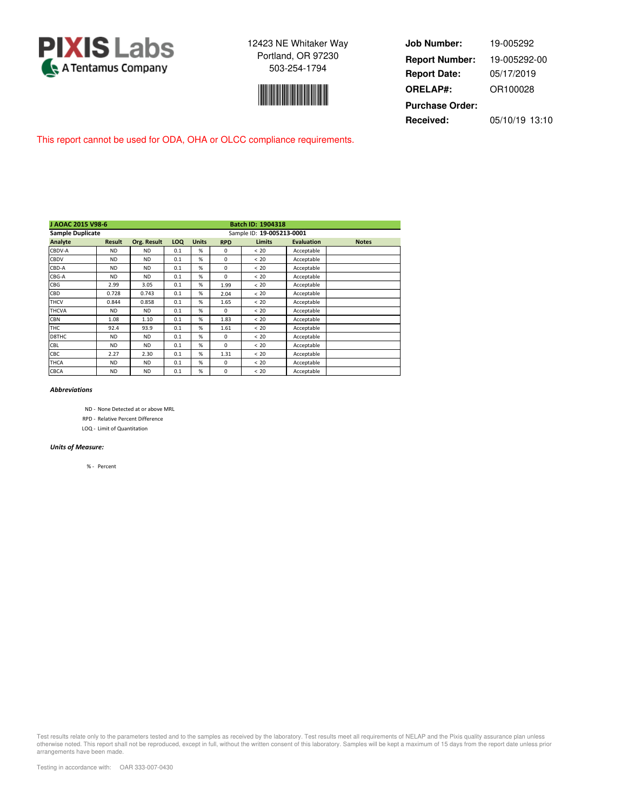



**Job Number: Report Date: ORELAP#:** 05/17/2019 OR100028 **Received:** 05/10/19 13:10 **Purchase Order:** 19-005292 **Report Number:** 19-005292-00

This report cannot be used for ODA, OHA or OLCC compliance requirements.

| J AOAC 2015 V98-6       |               |                    |     |                           |            | Batch ID: 1904318 |                   |              |  |
|-------------------------|---------------|--------------------|-----|---------------------------|------------|-------------------|-------------------|--------------|--|
| <b>Sample Duplicate</b> |               |                    |     | Sample ID: 19-005213-0001 |            |                   |                   |              |  |
| Analyte                 | <b>Result</b> | <b>Org. Result</b> | LOQ | <b>Units</b>              | <b>RPD</b> | <b>Limits</b>     | <b>Evaluation</b> | <b>Notes</b> |  |
| CBDV-A                  | <b>ND</b>     | <b>ND</b>          | 0.1 | %                         | $\Omega$   | <20               | Acceptable        |              |  |
| CBDV                    | <b>ND</b>     | <b>ND</b>          | 0.1 | %                         | $\Omega$   | < 20              | Acceptable        |              |  |
| CBD-A                   | <b>ND</b>     | <b>ND</b>          | 0.1 | %                         | $\Omega$   | < 20              | Acceptable        |              |  |
| CBG-A                   | <b>ND</b>     | <b>ND</b>          | 0.1 | %                         | $\Omega$   | <20               | Acceptable        |              |  |
| CBG                     | 2.99          | 3.05               | 0.1 | %                         | 1.99       | <20               | Acceptable        |              |  |
| CBD                     | 0.728         | 0.743              | 0.1 | %                         | 2.04       | < 20              | Acceptable        |              |  |
| <b>THCV</b>             | 0.844         | 0.858              | 0.1 | %                         | 1.65       | < 20              | Acceptable        |              |  |
| <b>THCVA</b>            | <b>ND</b>     | <b>ND</b>          | 0.1 | %                         | $\Omega$   | < 20              | Acceptable        |              |  |
| <b>CBN</b>              | 1.08          | 1.10               | 0.1 | %                         | 1.83       | < 20              | Acceptable        |              |  |
| <b>THC</b>              | 92.4          | 93.9               | 0.1 | %                         | 1.61       | <20               | Acceptable        |              |  |
| D8THC                   | <b>ND</b>     | <b>ND</b>          | 0.1 | %                         | $\Omega$   | <20               | Acceptable        |              |  |
| CBL                     | <b>ND</b>     | <b>ND</b>          | 0.1 | %                         | $\Omega$   | < 20              | Acceptable        |              |  |
| CBC                     | 2.27          | 2.30               | 0.1 | %                         | 1.31       | <20               | Acceptable        |              |  |
| <b>THCA</b>             | <b>ND</b>     | <b>ND</b>          | 0.1 | %                         | $\Omega$   | <20               | Acceptable        |              |  |
| CBCA                    | <b>ND</b>     | <b>ND</b>          | 0.1 | %                         | $\Omega$   | <20               | Acceptable        |              |  |

## *Abbreviations*

ND - None Detected at or above MRL

RPD - Relative Percent Difference

LOQ - Limit of Quantitation

#### *Units of Measure:*

% - Percent